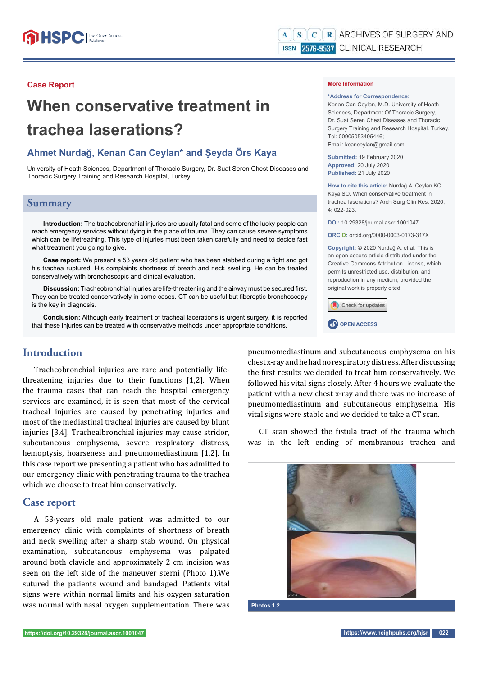#### **Case Report**

# **When conservative treatment in trachea laserations?**

## **Ahmet Nurdağ, Kenan Can Ceylan\* and Şeyda Örs Kaya**

University of Heath Sciences, Department of Thoracic Surgery, Dr. Suat Seren Chest Diseases and Thoracic Surgery Training and Research Hospital, Turkey

### **Summary**

**Introduction:** The tracheobronchial injuries are usually fatal and some of the lucky people can reach emergency services without dying in the place of trauma. They can cause severe symptoms which can be lifetreathing. This type of injuries must been taken carefully and need to decide fast what treatment you going to give.

Case report: We present a 53 years old patient who has been stabbed during a fight and got his trachea ruptured. His complaints shortness of breath and neck swelling. He can be treated conservatively with bronchoscopic and clinical evaluation.

**Discussion:** Tracheobronchial injuries are life-threatening and the airway must be secured first. They can be treated conservatively in some cases. CT can be useful but fiberoptic bronchoscopy is the key in diagnosis.

**Conclusion:** Although early treatment of tracheal lacerations is urgent surgery, it is reported that these injuries can be treated with conservative methods under appropriate conditions.

## **Introduction**

Tracheobronchial injuries are rare and potentially lifethreatening injuries due to their functions [1,2]. When the trauma cases that can reach the hospital emergency services are examined, it is seen that most of the cervical tracheal injuries are caused by penetrating injuries and most of the mediastinal tracheal injuries are caused by blunt injuries [3,4]. Trachealbronchial injuries may cause stridor, subcutaneous emphysema, severe respiratory distress, hemoptysis, hoarseness and pneumomediastinum [1,2]. In this case report we presenting a patient who has admitted to our emergency clinic with penetrating trauma to the trachea which we choose to treat him conservatively.

### **Case report**

A 53-years old male patient was admitted to our emergency clinic with complaints of shortness of breath and neck swelling after a sharp stab wound. On physical examination, subcutaneous emphysema was palpated around both clavicle and approximately 2 cm incision was seen on the left side of the maneuver sterni (Photo 1).We sutured the patients wound and bandaged. Patients vital signs were within normal limits and his oxygen saturation was normal with nasal oxygen supplementation. There was

#### **More Information**

#### **\*Address for Correspondence:**

Kenan Can Ceylan, M.D. University of Heath Sciences, Department Of Thoracic Surgery, Dr. Suat Seren Chest Diseases and Thoracic Surgery Training and Research Hospital. Turkey, Tel: 00905053495446;

Email: kcanceylan@gmail.com

**Submitted:** 19 February 2020 **Approved:** 20 July 2020 **Published:** 21 July 2020

**How to cite this article:** Nurdağ A, Ceylan KC, Kaya SO. When conservative treatment in trachea laserations? Arch Surg Clin Res. 2020; 4: 022-023.

**DOI:** 10.29328/journal.ascr.1001047

**ORCiD:** orcid.org/0000-0003-0173-317X

**Copyright: ©** 2020 Nurdağ A, et al. This is an open access article distributed under the Creative Commons Attribution License, which permits unrestricted use, distribution, and reproduction in any medium, provided the original work is properly cited.





pneumomediastinum and subcutaneous emphysema on his chest x-ray and he had no respiratory distress. After discussing the first results we decided to treat him conservatively. We followed his vital signs closely. After 4 hours we evaluate the patient with a new chest x-ray and there was no increase of pneumomediastinum and subcutaneous emphysema. His vital signs were stable and we decided to take a CT scan.

CT scan showed the fistula tract of the trauma which was in the left ending of membranous trachea and